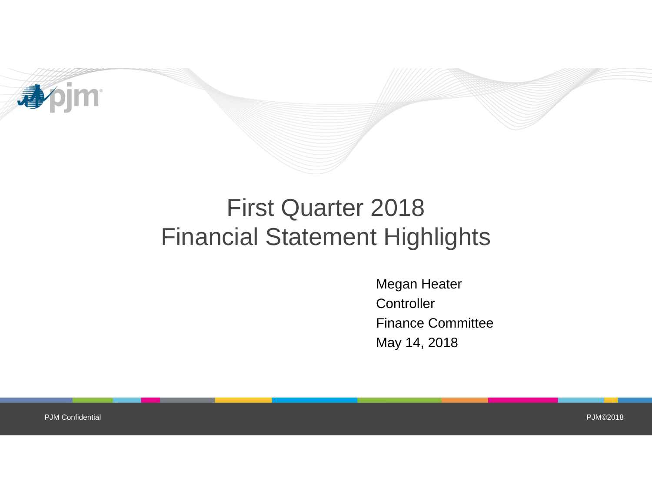

## First Quarter 2018 Financial Statement Highlights

Megan Heater **Controller** Finance Committee May 14, 2018

PJM Confidential

PJM©2018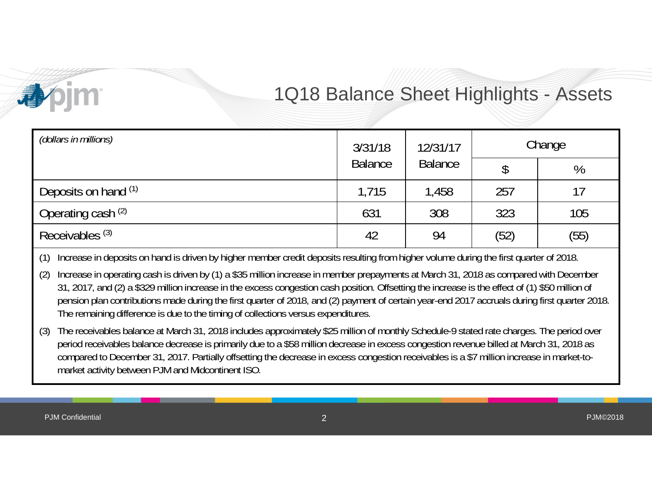

### 1Q18 Balance Sheet Highlights - Assets

| (dollars in millions)      | 3/31/18        | 12/31/17       | Change |      |
|----------------------------|----------------|----------------|--------|------|
|                            | <b>Balance</b> | <b>Balance</b> |        | %    |
| Deposits on hand (1)       | 1,715          | 1,458          | 257    | 17   |
| Operating cash (2)         | 631            | 308            | 323    | 105  |
| Receivables <sup>(3)</sup> | 42             | 94             | (52)   | (55) |

(1) Increase in deposits on hand is driven by higher member credit deposits resulting from higher volume during the first quarter of 2018.

(2) Increase in operating cash is driven by (1) a \$35 million increase in member prepayments at March 31, 2018 as compared with December 31, 2017, and (2) a \$329 million increase in the excess congestion cash position. Offsetting the increase is the effect of (1) \$50 million of pension plan contributions made during the first quarter of 2018, and (2) payment of certain year-end 2017 accruals during first quarter 2018. The remaining difference is due to the timing of collections versus expenditures.

(3) The receivables balance at March 31, 2018 includes approximately \$25 million of monthly Schedule-9 stated rate charges. The period over period receivables balance decrease is primarily due to a \$58 million decrease in excess congestion revenue billed at March 31, 2018 as compared to December 31, 2017. Partially offsetting the decrease in excess congestion receivables is a \$7 million increase in market-tomarket activity between PJM and Midcontinent ISO.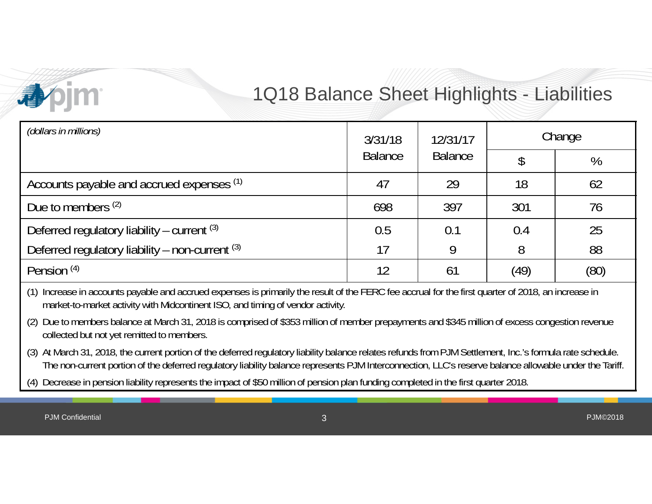

### 1Q18 Balance Sheet Highlights - Liabilities

| (dollars in millions)                           | 3/31/18        | 12/31/17<br><b>Balance</b> | Change |      |
|-------------------------------------------------|----------------|----------------------------|--------|------|
|                                                 | <b>Balance</b> |                            |        | %    |
| Accounts payable and accrued expenses (1)       | 47             | 29                         | 18     | 62   |
| Due to members (2)                              | 698            | 397                        | 301    | 76   |
| Deferred regulatory liability – current $(3)$   | 0.5            | 0.1                        | 0.4    | 25   |
| Deferred regulatory liability - non-current (3) | 17             | 9                          | 8      | 88   |
| Pension <sup>(4)</sup>                          | 12             | 61                         | (49)   | (80) |

(1) Increase in accounts payable and accrued expenses is primarily the result of the FERC fee accrual for the first quarter of 2018, an increase in market-to-market activity with Midcontinent ISO, and timing of vendor activity.

(2) Due to members balance at March 31, 2018 is comprised of \$353 million of member prepayments and \$345 million of excess congestion revenue collected but not yet remitted to members.

(3) At March 31, 2018, the current portion of the deferred regulatory liability balance relates refunds from PJM Settlement, Inc.'s formula rate schedule. The non-current portion of the deferred regulatory liability balance represents PJM Interconnection, LLC's reserve balance allowable under the Tariff.

(4) Decrease in pension liability represents the impact of \$50 million of pension plan funding completed in the first quarter 2018.

PJM Confidential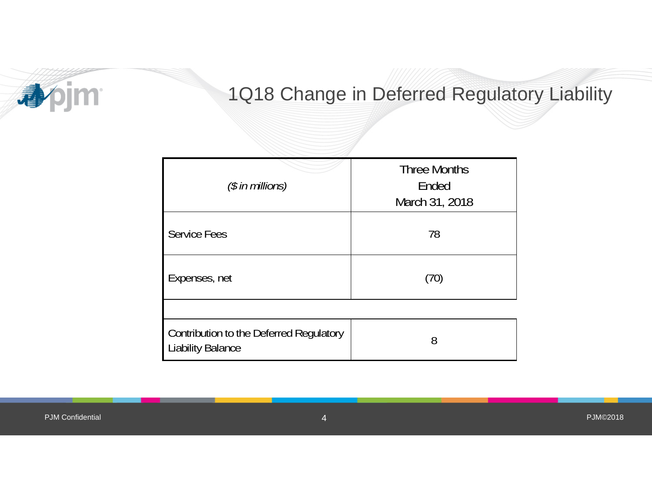

### 1Q18 Change in Deferred Regulatory Liability

| $(\$$ in millions)                                                  | <b>Three Months</b><br>Ended<br>March 31, 2018 |
|---------------------------------------------------------------------|------------------------------------------------|
| <b>Service Fees</b>                                                 | 78                                             |
| Expenses, net                                                       | (70)                                           |
|                                                                     |                                                |
| Contribution to the Deferred Regulatory<br><b>Liability Balance</b> | 8                                              |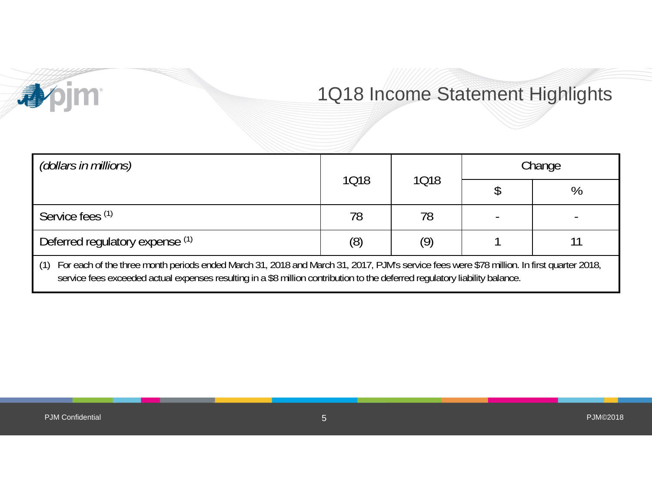# 1Q18 Income Statement Highlights

| (dollars in millions)                                                                                                                                                                                                                                                           |      |      | Change |   |
|---------------------------------------------------------------------------------------------------------------------------------------------------------------------------------------------------------------------------------------------------------------------------------|------|------|--------|---|
|                                                                                                                                                                                                                                                                                 | 1018 | 1018 |        | % |
| Service fees (1)                                                                                                                                                                                                                                                                | 78   | 78   |        |   |
| Deferred regulatory expense (1)                                                                                                                                                                                                                                                 | (8)  | (9)  |        |   |
| For each of the three month periods ended March 31, 2018 and March 31, 2017, PJM's service fees were \$78 million. In first quarter 2018,<br>(1)<br>service fees exceeded actual expenses resulting in a \$8 million contribution to the deferred regulatory liability balance. |      |      |        |   |

**Apjm**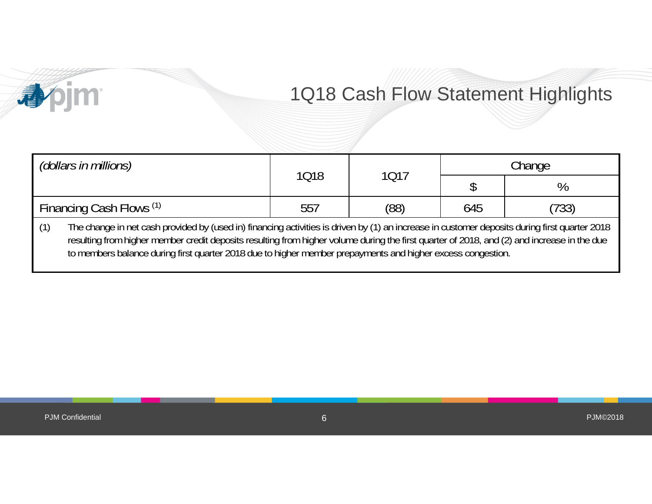### 1Q18 Cash Flow Statement Highlights

| (dollars in millions)                                                                                                                                                                                                                                                                                                                                                                                              | 1018 | 1017 | Change |       |  |
|--------------------------------------------------------------------------------------------------------------------------------------------------------------------------------------------------------------------------------------------------------------------------------------------------------------------------------------------------------------------------------------------------------------------|------|------|--------|-------|--|
|                                                                                                                                                                                                                                                                                                                                                                                                                    |      |      |        |       |  |
| Financing Cash Flows (1)                                                                                                                                                                                                                                                                                                                                                                                           | 557  | (88) | 645    | (733) |  |
| The change in net cash provided by (used in) financing activities is driven by (1) an increase in customer deposits during first quarter 2018<br>(1)<br>resulting from higher member credit deposits resulting from higher volume during the first quarter of 2018, and (2) and increase in the due<br>to members balance during first quarter 2018 due to higher member prepayments and higher excess congestion. |      |      |        |       |  |

**Apjm**